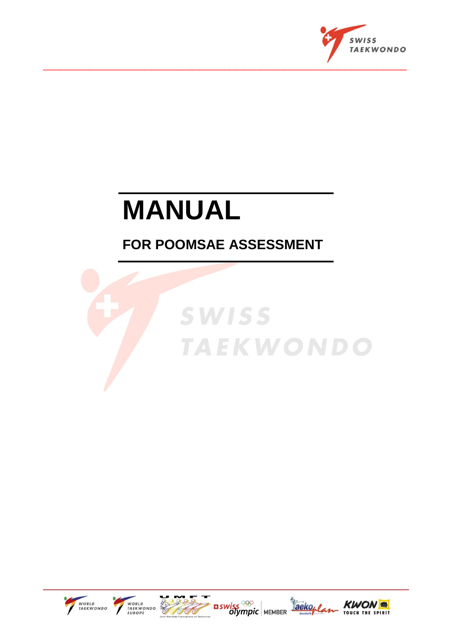

# **MANUAL**

## **FOR POOMSAE ASSESSMENT**











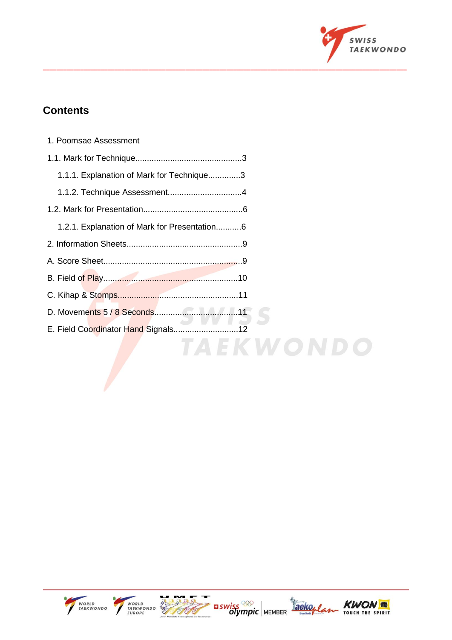

## **Contents**

| 1. Poomsae Assessment                        |
|----------------------------------------------|
|                                              |
| 1.1.1. Explanation of Mark for Technique3    |
|                                              |
|                                              |
| 1.2.1. Explanation of Mark for Presentation6 |
|                                              |
|                                              |
|                                              |
|                                              |
|                                              |
| E. Field Coordinator Hand Signals            |
| A E K W O N D                                |

**\_\_\_\_\_\_\_\_\_\_\_\_\_\_\_\_\_\_\_\_\_\_\_\_\_\_\_\_\_\_\_\_\_\_\_\_\_\_\_\_\_\_\_\_\_\_\_\_\_\_\_\_\_\_\_\_\_\_\_\_\_\_\_\_\_\_\_\_\_\_\_\_\_\_\_\_\_\_\_\_\_\_\_\_\_\_\_\_\_\_\_\_\_\_\_\_\_\_\_\_\_\_\_\_\_\_\_**



7





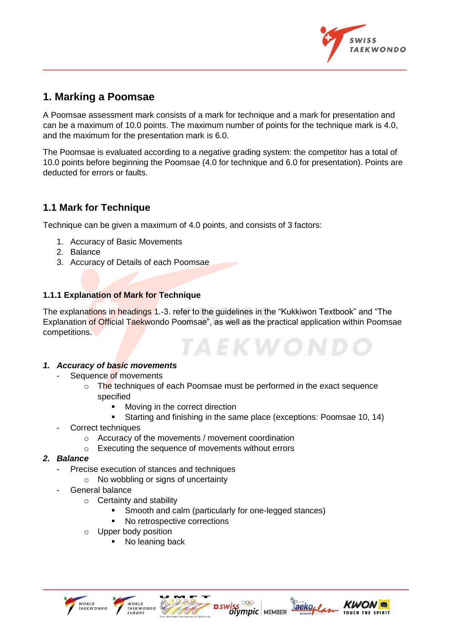

## **1. Marking a Poomsae**

A Poomsae assessment mark consists of a mark for technique and a mark for presentation and can be a maximum of 10.0 points. The maximum number of points for the technique mark is 4.0, and the maximum for the presentation mark is 6.0.

**\_\_\_\_\_\_\_\_\_\_\_\_\_\_\_\_\_\_\_\_\_\_\_\_\_\_\_\_\_\_\_\_\_\_\_\_\_\_\_\_\_\_\_\_\_\_\_\_\_\_\_\_\_\_\_\_\_\_\_\_\_\_\_\_\_\_\_\_\_\_\_\_\_\_\_\_\_\_\_\_\_\_\_\_\_\_\_\_\_\_\_\_\_\_\_\_\_\_\_\_\_\_\_\_\_\_\_**

The Poomsae is evaluated according to a negative grading system: the competitor has a total of 10.0 points before beginning the Poomsae (4.0 for technique and 6.0 for presentation). Points are deducted for errors or faults.

## **1.1 Mark for Technique**

Technique can be given a maximum of 4.0 points, and consists of 3 factors:

- 1. Accuracy of Basic Movements
- 2. Balance
- 3. Accuracy of Details of each Poomsae

#### **1.1.1 Explanation of Mark for Technique**

The explanations in headings 1.-3. refer to the guidelines in the "Kukkiwon Textbook" and "The Explanation of Official Taekwondo Poomsae", as well as the practical application within Poomsae competitions. **TAEKWON.** 

#### *1. Accuracy of basic movements*

- Sequence of movements
	- o The techniques of each Poomsae must be performed in the exact sequence specified
		- Moving in the correct direction
		- Starting and finishing in the same place (exceptions: Poomsae 10, 14)

**EL SWISS<sup>OOO</sup>** MEMBER

aeko,

- Correct techniques
	- o Accuracy of the movements / movement coordination
	- o Executing the sequence of movements without errors

#### *2. Balance*

- Precise execution of stances and techniques
	- o No wobbling or signs of uncertainty
- General balance
	- $\circ$  Certainty and stability
		- Smooth and calm (particularly for one-legged stances)
		- No retrospective corrections
	- o Upper body position
		- No leaning back

WORLD<br>TAEKWONDO

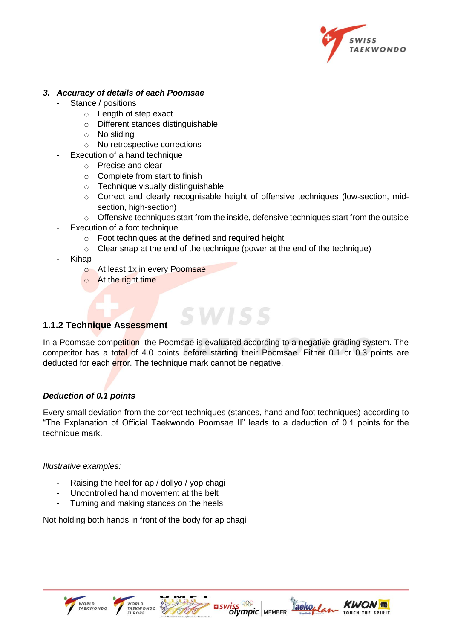

#### *3. Accuracy of details of each Poomsae*

- Stance / positions
	- o Length of step exact
	- o Different stances distinguishable
	- o No sliding
	- o No retrospective corrections
	- Execution of a hand technique
		- o Precise and clear
		- o Complete from start to finish
		- o Technique visually distinguishable
		- $\circ$  Correct and clearly recognisable height of offensive techniques (low-section, midsection, high-section)
		- $\circ$  Offensive techniques start from the inside, defensive techniques start from the outside
- Execution of a foot technique
	- o Foot techniques at the defined and required height
	- o Clear snap at the end of the technique (power at the end of the technique)

**\_\_\_\_\_\_\_\_\_\_\_\_\_\_\_\_\_\_\_\_\_\_\_\_\_\_\_\_\_\_\_\_\_\_\_\_\_\_\_\_\_\_\_\_\_\_\_\_\_\_\_\_\_\_\_\_\_\_\_\_\_\_\_\_\_\_\_\_\_\_\_\_\_\_\_\_\_\_\_\_\_\_\_\_\_\_\_\_\_\_\_\_\_\_\_\_\_\_\_\_\_\_\_\_\_\_\_**

- Kihap
	- o At least 1x in every Poomsae
	- o At the right time

#### **1.1.2 Technique Assessment**

In a Poomsae competition, the Poomsae is evaluated according to a negative grading system. The competitor has a total of 4.0 points before starting their Poomsae. Either 0.1 or 0.3 points are deducted for each error. The technique mark cannot be negative.

**SWISS** 

#### *Deduction of 0.1 points*

Every small deviation from the correct techniques (stances, hand and foot techniques) according to "The Explanation of Official Taekwondo Poomsae II" leads to a deduction of 0.1 points for the technique mark.

#### *Illustrative examples:*

- Raising the heel for ap / dollyo / yop chagi
- Uncontrolled hand movement at the belt
- Turning and making stances on the heels

Not holding both hands in front of the body for ap chagi









aeko,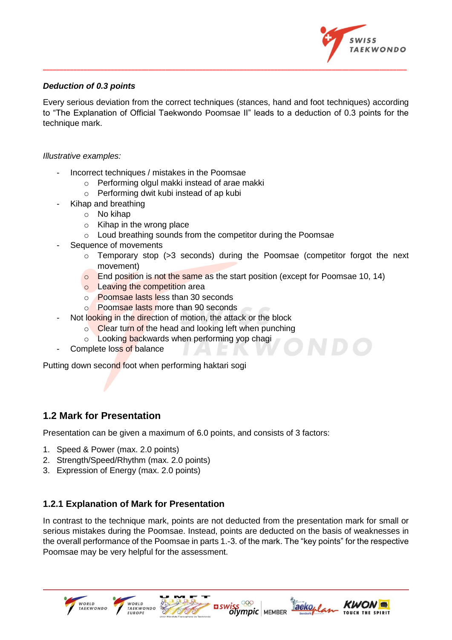

#### *Deduction of 0.3 points*

Every serious deviation from the correct techniques (stances, hand and foot techniques) according to "The Explanation of Official Taekwondo Poomsae II" leads to a deduction of 0.3 points for the technique mark.

**\_\_\_\_\_\_\_\_\_\_\_\_\_\_\_\_\_\_\_\_\_\_\_\_\_\_\_\_\_\_\_\_\_\_\_\_\_\_\_\_\_\_\_\_\_\_\_\_\_\_\_\_\_\_\_\_\_\_\_\_\_\_\_\_\_\_\_\_\_\_\_\_\_\_\_\_\_\_\_\_\_\_\_\_\_\_\_\_\_\_\_\_\_\_\_\_\_\_\_\_\_\_\_\_\_\_\_**

#### *Illustrative examples:*

- Incorrect techniques / mistakes in the Poomsae
	- o Performing olgul makki instead of arae makki
	- o Performing dwit kubi instead of ap kubi
- Kihap and breathing
	- o No kihap
	- o Kihap in the wrong place
	- o Loud breathing sounds from the competitor during the Poomsae
- Sequence of movements
	- $\circ$  Temporary stop (>3 seconds) during the Poomsae (competitor forgot the next movement)
	- $\circ$  End position is not the same as the start position (except for Poomsae 10, 14)
	- o Leaving the competition area
	- o Poomsae lasts less than 30 seconds
	- o Poomsae lasts more than 90 seconds
	- Not looking in the direction of motion, the attack or the block
		- $\circ$  Clear turn of the head and looking left when punching
		- o Looking backwards when performing yop chagi
- Complete loss of balance

Putting down second foot when performing haktari sogi

#### **1.2 Mark for Presentation**

.<br>WORLD<br>TAEKWONDO

Presentation can be given a maximum of 6.0 points, and consists of 3 factors:

- 1. Speed & Power (max. 2.0 points)
- 2. Strength/Speed/Rhythm (max. 2.0 points)
- 3. Expression of Energy (max. 2.0 points)

#### **1.2.1 Explanation of Mark for Presentation**

In contrast to the technique mark, points are not deducted from the presentation mark for small or serious mistakes during the Poomsae. Instead, points are deducted on the basis of weaknesses in the overall performance of the Poomsae in parts 1.-3. of the mark. The "key points" for the respective Poomsae may be very helpful for the assessment.

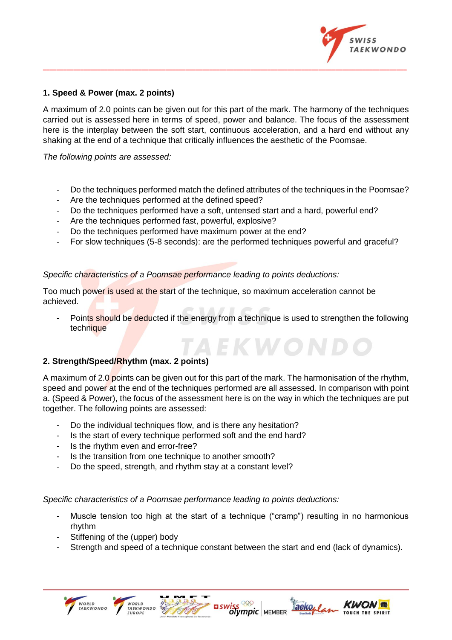

#### **1. Speed & Power (max. 2 points)**

A maximum of 2.0 points can be given out for this part of the mark. The harmony of the techniques carried out is assessed here in terms of speed, power and balance. The focus of the assessment here is the interplay between the soft start, continuous acceleration, and a hard end without any shaking at the end of a technique that critically influences the aesthetic of the Poomsae.

**\_\_\_\_\_\_\_\_\_\_\_\_\_\_\_\_\_\_\_\_\_\_\_\_\_\_\_\_\_\_\_\_\_\_\_\_\_\_\_\_\_\_\_\_\_\_\_\_\_\_\_\_\_\_\_\_\_\_\_\_\_\_\_\_\_\_\_\_\_\_\_\_\_\_\_\_\_\_\_\_\_\_\_\_\_\_\_\_\_\_\_\_\_\_\_\_\_\_\_\_\_\_\_\_\_\_\_**

*The following points are assessed:*

- Do the techniques performed match the defined attributes of the techniques in the Poomsae?
- Are the techniques performed at the defined speed?
- Do the techniques performed have a soft, untensed start and a hard, powerful end?
- Are the techniques performed fast, powerful, explosive?
- Do the techniques performed have maximum power at the end?
- For slow techniques (5-8 seconds): are the performed techniques powerful and graceful?

#### *Specific characteristics of a Poomsae performance leading to points deductions:*

Too much power is used at the start of the technique, so maximum acceleration cannot be achieved.

Points should be deducted if the energy from a technique is used to strengthen the following technique

**A E K W O N** 

#### **2. Strength/Speed/Rhythm (max. 2 points)**

A maximum of 2.0 points can be given out for this part of the mark. The harmonisation of the rhythm, speed and power at the end of the techniques performed are all assessed. In comparison with point a. (Speed & Power), the focus of the assessment here is on the way in which the techniques are put together. The following points are assessed:

- Do the individual techniques flow, and is there any hesitation?
- Is the start of every technique performed soft and the end hard?
- Is the rhythm even and error-free?
- Is the transition from one technique to another smooth?
- Do the speed, strength, and rhythm stay at a constant level?

*Specific characteristics of a Poomsae performance leading to points deductions:*

- Muscle tension too high at the start of a technique ("cramp") resulting in no harmonious rhythm
- Stiffening of the (upper) body

WORLD<br>TAEKWONDO

Strength and speed of a technique constant between the start and end (lack of dynamics).

**EL SWISS<sup>OOO</sup>** MEMBER

aeko, /

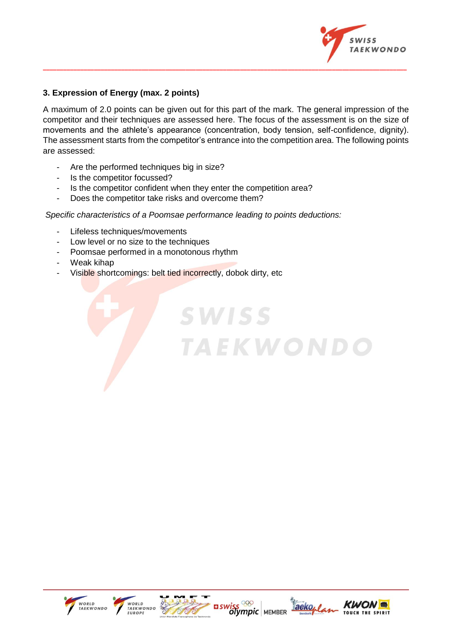

#### **3. Expression of Energy (max. 2 points)**

A maximum of 2.0 points can be given out for this part of the mark. The general impression of the competitor and their techniques are assessed here. The focus of the assessment is on the size of movements and the athlete's appearance (concentration, body tension, self-confidence, dignity). The assessment starts from the competitor's entrance into the competition area. The following points are assessed:

**SWISS** 

**TAEKWONDO** 

**\_\_\_\_\_\_\_\_\_\_\_\_\_\_\_\_\_\_\_\_\_\_\_\_\_\_\_\_\_\_\_\_\_\_\_\_\_\_\_\_\_\_\_\_\_\_\_\_\_\_\_\_\_\_\_\_\_\_\_\_\_\_\_\_\_\_\_\_\_\_\_\_\_\_\_\_\_\_\_\_\_\_\_\_\_\_\_\_\_\_\_\_\_\_\_\_\_\_\_\_\_\_\_\_\_\_\_**

- Are the performed techniques big in size?
- Is the competitor focussed?
- Is the competitor confident when they enter the competition area?
- Does the competitor take risks and overcome them?

#### *Specific characteristics of a Poomsae performance leading to points deductions:*

- Lifeless techniques/movements
- Low level or no size to the techniques
- Poomsae performed in a monotonous rhythm
- Weak kihap
- Visible shortcomings: belt tied incorrectly, dobok dirty, etc.









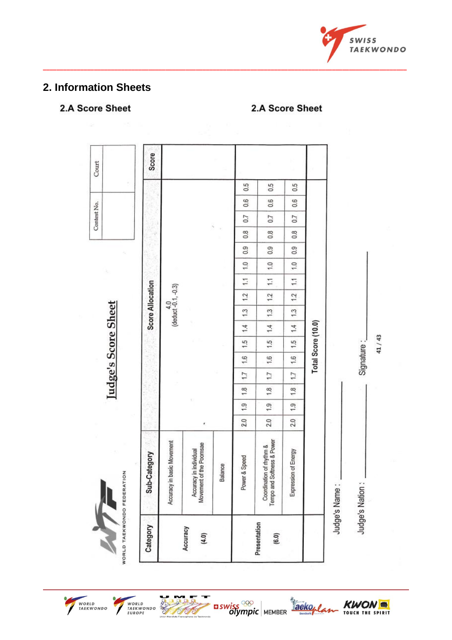

## 2. Information Sheets

## 2.A Score Sheet

#### 2.A Score Sheet





WORLD<br>TAEKWONDO<br>EUROPE

7



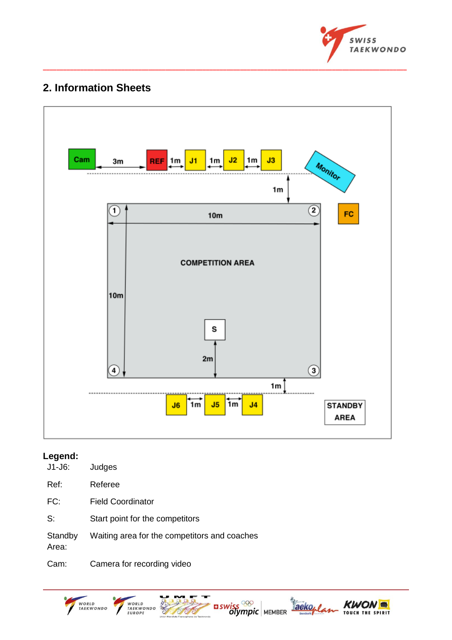

## **2. Information Sheets**



**\_\_\_\_\_\_\_\_\_\_\_\_\_\_\_\_\_\_\_\_\_\_\_\_\_\_\_\_\_\_\_\_\_\_\_\_\_\_\_\_\_\_\_\_\_\_\_\_\_\_\_\_\_\_\_\_\_\_\_\_\_\_\_\_\_\_\_\_\_\_\_\_\_\_\_\_\_\_\_\_\_\_\_\_\_\_\_\_\_\_\_\_\_\_\_\_\_\_\_\_\_\_\_\_\_\_\_**

## **Legend:**

| $J1-J6$ :        | Judges                                       |
|------------------|----------------------------------------------|
| Ref:             | Referee                                      |
| FC:              | Field Coordinator                            |
| S:               | Start point for the competitors              |
| Standby<br>Area: | Waiting area for the competitors and coaches |
| Cam:             | Camera for recording video                   |

WORLD<br>TAEKWONDO WORLD<br>TAEKWONDO<br>EUROPE CANCER I  $\frac{1}{\sqrt{2}}$  aswiss  $\frac{1}{\sqrt{2}}$  MEMBER Taekoplan **KWON** TOUCH THE SPIRIT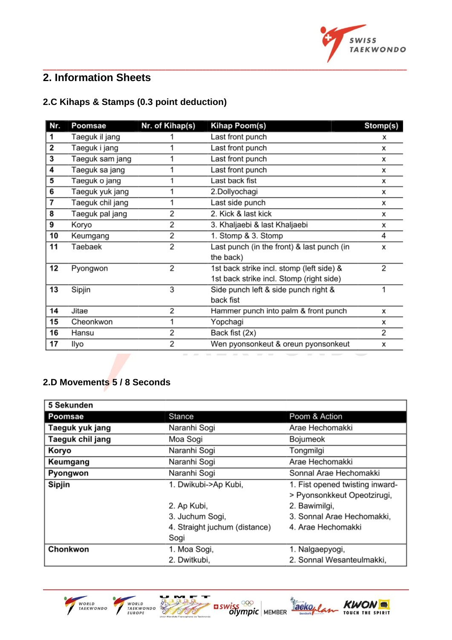

## **2. Information Sheets**

## **2.C Kihaps & Stamps (0.3 point deduction)**

| Nr. | Poomsae          | Nr. of Kihap(s) | Kihap Poom(s)                              | Stomp(s) |
|-----|------------------|-----------------|--------------------------------------------|----------|
| 1   | Taeguk il jang   |                 | Last front punch                           | х        |
| 2   | Taeguk i jang    |                 | Last front punch                           | х        |
| 3   | Taeguk sam jang  | 1               | Last front punch                           | x        |
| 4   | Taeguk sa jang   | 1               | Last front punch                           | x        |
| 5   | Taeguk o jang    | 1               | Last back fist                             | х        |
| 6   | Taeguk yuk jang  | 1               | 2.Dollyochagi                              | x        |
| 7   | Taeguk chil jang | 1               | Last side punch                            | x        |
| 8   | Taeguk pal jang  | 2               | 2. Kick & last kick                        | х        |
| 9   | Koryo            | 2               | 3. Khaljaebi & last Khaljaebi              | x        |
| 10  | Keumgang         | 2               | 1. Stomp & 3. Stomp                        | 4        |
| 11  | Taebaek          | $\overline{2}$  | Last punch (in the front) & last punch (in | x        |
|     |                  |                 | the back)                                  |          |
| 12  | Pyongwon         | 2               | 1st back strike incl. stomp (left side) &  | 2        |
|     |                  |                 | 1st back strike incl. Stomp (right side)   |          |
| 13  | Sipjin           | 3               | Side punch left & side punch right &       | 1        |
|     |                  |                 | back fist                                  |          |
| 14  | Jitae            | 2               | Hammer punch into palm & front punch       | х        |
| 15  | Cheonkwon        | 1               | Yopchagi                                   | х        |
| 16  | Hansu            | 2               | Back fist (2x)                             | 2        |
| 17  | llyo             | 2               | Wen pyonsonkeut & oreun pyonsonkeut        | х        |

**\_\_\_\_\_\_\_\_\_\_\_\_\_\_\_\_\_\_\_\_\_\_\_\_\_\_\_\_\_\_\_\_\_\_\_\_\_\_\_\_\_\_\_\_\_\_\_\_\_\_\_\_\_\_\_\_\_\_\_\_\_\_\_\_\_\_\_\_\_\_\_\_\_\_\_\_\_\_\_\_\_\_\_\_\_\_\_\_\_\_\_\_\_\_\_\_\_\_\_\_\_\_\_\_\_\_\_**

## **2.D Movements 5 / 8 Seconds**

| 5 Sekunden       |                               |                                 |  |
|------------------|-------------------------------|---------------------------------|--|
| Poomsae          | Stance                        | Poom & Action                   |  |
| Taeguk yuk jang  | Naranhi Sogi                  | Arae Hechomakki                 |  |
| Taeguk chil jang | Moa Sogi                      | Bojumeok                        |  |
| Koryo            | Naranhi Sogi                  | Tongmilgi                       |  |
| Keumgang         | Naranhi Sogi                  | Arae Hechomakki                 |  |
| Pyongwon         | Naranhi Sogi                  | Sonnal Arae Hechomakki          |  |
| Sipjin           | 1. Dwikubi->Ap Kubi,          | 1. Fist opened twisting inward- |  |
|                  |                               | > Pyonsonkkeut Opeotzirugi,     |  |
|                  | 2. Ap Kubi,                   | 2. Bawimilgi,                   |  |
|                  | 3. Juchum Sogi,               | 3. Sonnal Arae Hechomakki,      |  |
|                  | 4. Straight juchum (distance) | 4. Arae Hechomakki              |  |
|                  | Sogi                          |                                 |  |
| Chonkwon         | 1. Moa Sogi,                  | 1. Nalgaepyogi,                 |  |
|                  | 2. Dwitkubi,                  | 2. Sonnal Wesanteulmakki,       |  |

**EL SWISS 88** 

Taekopla

**KWON** TOUCH THE SPIRIT



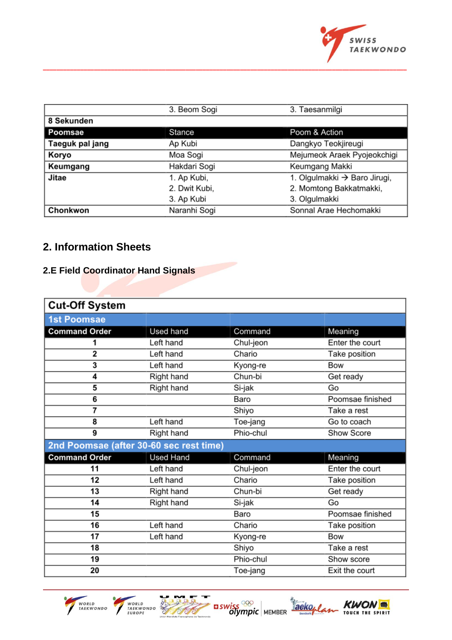

|                   | 3. Beom Sogi                                | 3. Taesanmilgi      |  |
|-------------------|---------------------------------------------|---------------------|--|
| 8 Sekunden        |                                             |                     |  |
| Stance<br>Poomsae |                                             | Poom & Action       |  |
| Taeguk pal jang   | Ap Kubi                                     | Dangkyo Teokjireugi |  |
| Koryo             | Mejumeok Araek Pyojeokchigi<br>Moa Sogi     |                     |  |
| Keumgang          | Hakdari Sogi                                | Keumgang Makki      |  |
| Jitae             | 1. Olgulmakki → Baro Jirugi,<br>1. Ap Kubi, |                     |  |
|                   | 2. Momtong Bakkatmakki,<br>2. Dwit Kubi,    |                     |  |
|                   | 3. Ap Kubi                                  | 3. Olgulmakki       |  |
| Chonkwon          | Naranhi Sogi<br>Sonnal Arae Hechomakki      |                     |  |

**\_\_\_\_\_\_\_\_\_\_\_\_\_\_\_\_\_\_\_\_\_\_\_\_\_\_\_\_\_\_\_\_\_\_\_\_\_\_\_\_\_\_\_\_\_\_\_\_\_\_\_\_\_\_\_\_\_\_\_\_\_\_\_\_\_\_\_\_\_\_\_\_\_\_\_\_\_\_\_\_\_\_\_\_\_\_\_\_\_\_\_\_\_\_\_\_\_\_\_\_\_\_\_\_\_\_\_**

## **2. Information Sheets**

## **2.E Field Coordinator Hand Signals**

| <b>Cut-Off System</b>                   |                  |           |                  |
|-----------------------------------------|------------------|-----------|------------------|
| <b>1st Poomsae</b>                      |                  |           |                  |
| <b>Command Order</b>                    | Used hand        | Command   | Meaning          |
| 1                                       | Left hand        | Chul-jeon | Enter the court  |
| 2                                       | Left hand        | Chario    | Take position    |
| 3                                       | Left hand        | Kyong-re  | Bow              |
| 4                                       | Right hand       | Chun-bi   | Get ready        |
| 5                                       | Right hand       | Si-jak    | Go               |
| 6                                       |                  | Baro      | Poomsae finished |
| 7                                       |                  | Shiyo     | Take a rest      |
| 8                                       | Left hand        | Toe-jang  | Go to coach      |
| 9                                       | Right hand       | Phio-chul | Show Score       |
| 2nd Poomsae (after 30-60 sec rest time) |                  |           |                  |
| <b>Command Order</b>                    | <b>Used Hand</b> | Command   | Meaning          |
| 11                                      | Left hand        | Chul-jeon | Enter the court  |
| 12                                      | Left hand        | Chario    | Take position    |
| 13                                      | Right hand       | Chun-bi   | Get ready        |
| 14                                      | Right hand       | Si-jak    | Go               |
| 15                                      |                  | Baro      | Poomsae finished |
| 16                                      | Left hand        | Chario    | Take position    |
| 17                                      | Left hand        | Kyong-re  | Bow              |
| 18                                      |                  | Shiyo     | Take a rest      |
| 19                                      |                  | Phio-chul | Show score       |
| 20                                      |                  | Toe-jang  | Exit the court   |